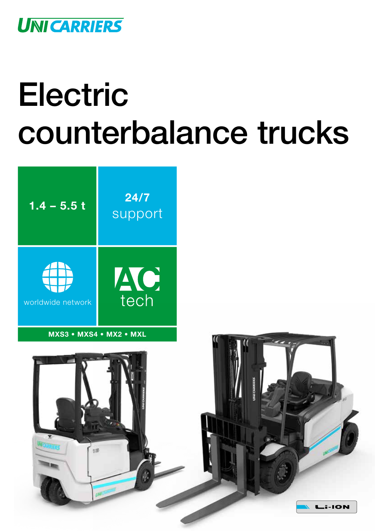

## Electric counterbalance trucks

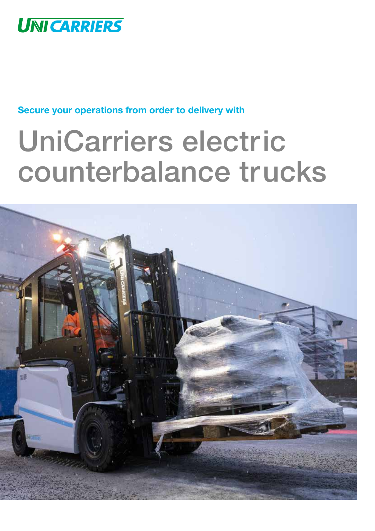

### Secure your operations from order to delivery with

## UniCarriers electric counterbalance trucks

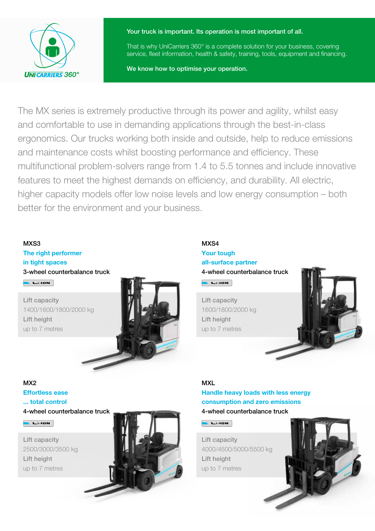

Your truck is important. Its operation is most important of all.

That is why UniCarriers 360° is a complete solution for your business, covering service, fleet information, health & safety, training, tools, equipment and financing.

We know how to optimise your operation.

The MX series is extremely productive through its power and agility, whilst easy and comfortable to use in demanding applications through the best-in-class ergonomics. Our trucks working both inside and outside, help to reduce emissions and maintenance costs whilst boosting performance and efficiency. These multifunctional problem-solvers range from 1.4 to 5.5 tonnes and include innovative features to meet the highest demands on efficiency, and durability. All electric, higher capacity models offer low noise levels and low energy consumption – both better for the environment and your business.

#### MXS3

The right performer in tight spaces 3-wheel counterbalance truck  $\overline{\phantom{a}}$  Li-ION

Lift capacity 1400/1600/1800/2000 kg Lift height up to 7 metres



MXS4 Your tough all-surface partner 4-wheel counterbalance truck  $\blacksquare$  Li-ION

Lift capacity 1600/1800/2000 kg Lift height up to 7 metres



MXL

Handle heavy loads with less energy consumption and zero emissions 4-wheel counterbalance truck

 $\blacksquare$  Li-ION

Lift capacity 4000/4500/5000/5500 kg Lift height up to 7 metres





Lift capacity 2500/3000/3500 kg Lift height up to 7 metres

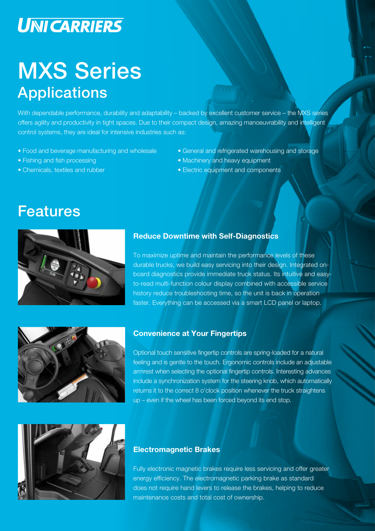### MXS Series Applications

With dependable performance, durability and adaptability – backed by excellent customer service – the MXS series offers agility and productivity in tight spaces. Due to their compact design, amazing manoeuvrability and intelligent control systems, they are ideal for intensive industries such as:

- Food and beverage manufacturing and wholesale General and refrigerated warehousing and storage
- 
- 
- 
- Fishing and fish processing  **The Contract of Australian Contract Contract of Australian Machinery and heavy equipment**
- Chemicals, textiles and rubber **Electric equipment and components**

### Features



### Reduce Downtime with Self-Diagnostics

To maximize uptime and maintain the performance levels of these durable trucks, we build easy servicing into their design. Integrated onboard diagnostics provide immediate truck status. Its intuitive and easyto-read multi-function colour display combined with accessible service history reduce troubleshooting time, so the unit is back in operation faster. Everything can be accessed via a smart LCD panel or laptop.



### Convenience at Your Fingertips

Optional touch sensitive fingertip controls are spring-loaded for a natural feeling and is gentle to the touch. Ergonomic controls include an adjustable armrest when selecting the optional fingertip controls. Interesting advances include a synchronization system for the steering knob, which automatically returns it to the correct 8 o'clock position whenever the truck straightens up – even if the wheel has been forced beyond its end stop.



### Electromagnetic Brakes

Fully electronic magnetic brakes require less servicing and offer greater energy efficiency. The electromagnetic parking brake as standard does not require hand levers to release the brakes, helping to reduce maintenance costs and total cost of ownership.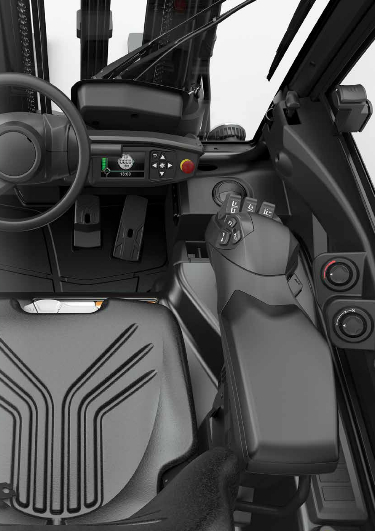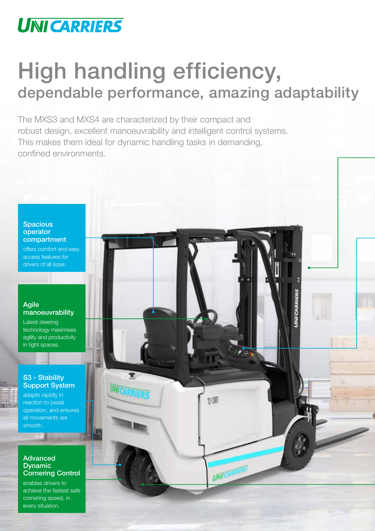### High handling efficiency, dependable performance, amazing adaptability

The MXS3 and MXS4 are characterized by their compact and robust design, excellent manoeuvrability and intelligent control systems. This makes them ideal for dynamic handling tasks in demanding, confined environments.

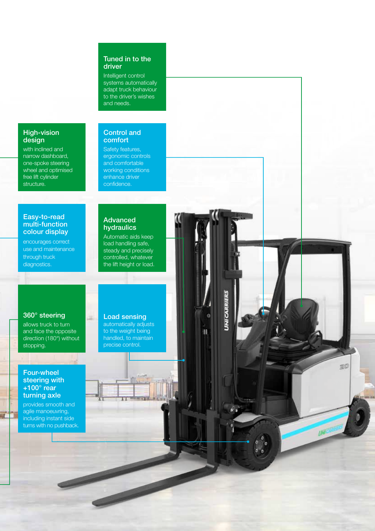#### Tuned in to the driver

Intelligent control systems automatically adapt truck behaviour to the driver's wishes and needs.

#### High-vision design

with inclined and narrow dashboard, one-spoke steering wheel and optimised free lift cylinder structure.

#### Easy-to-read multi-function colour display

encourages correct use and maintenance through truck diagnostics.

#### Control and comfort

Safety features, ergonomic controls and comfortable working conditions enhance driver confidence.

### Advanced **hydraulics**

Load sensing automatically adjusts to the weight being handled, to maintain precise control.

ä

**JNICARRIERS** 

 $20$ 

 $\ddot{\circ}$ 

Ħ

Automatic aids keep load handling safe, steady and precisely controlled, whatever the lift height or load.

### 360° steering

allows truck to turn and face the opposite direction (180°) without stopping.

#### Four-wheel steering with  $+100^\circ$  rear turning axle

provides smooth and agile manoeuvring, including instant side turns with no pushback.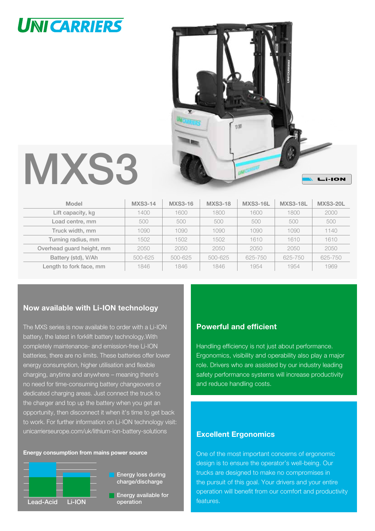

## MXS3

| Model                     | <b>MXS3-14</b> | <b>MXS3-16</b> | <b>MXS3-18</b> | <b>MXS3-16L</b> | <b>MXS3-18L</b> | <b>MXS3-20L</b> |
|---------------------------|----------------|----------------|----------------|-----------------|-----------------|-----------------|
| Lift capacity, kg         | 1400           | 1600           | 1800           | 1600            | 1800            | 2000            |
| Load centre, mm           | 500            | 500            | 500            | 500             | 500             | 500             |
| Truck width, mm           | 1090           | 1090           | 1090           | 1090            | 1090            | 1140            |
| Turning radius, mm        | 1502           | 1502           | 1502           | 1610            | 1610            | 1610            |
| Overhead quard height, mm | 2050           | 2050           | 2050           | 2050            | 2050            | 2050            |
| Battery (std), V/Ah       | 500-625        | 500-625        | 500-625        | 625-750         | 625-750         | 625-750         |
| Length to fork face, mm   | 1846           | 1846           | 1846           | 1954            | 1954            | 1969            |

### Now available with Li-ION technology

The MXS series is now available to order with a Li-ION battery, the latest in forklift battery technology.With completely maintenance- and emission-free Li-ION batteries, there are no limits. These batteries offer lower energy consumption, higher utilisation and flexible charging, anytime and anywhere – meaning there's no need for time-consuming battery changeovers or dedicated charging areas. Just connect the truck to the charger and top up the battery when you get an opportunity, then disconnect it when it's time to get back to work. For further information on Li-ION technology visit: unicarrierseurope.com/uk/lithium-ion-battery-solutions

Energy consumption from mains power source



Energy loss during charge/discharge

Energy available for

### Powerful and efficient

Handling efficiency is not just about performance. Ergonomics, visibility and operability also play a major role. Drivers who are assisted by our industry leading safety performance systems will increase productivity and reduce handling costs.

### Excellent Ergonomics

One of the most important concerns of ergonomic design is to ensure the operator's well-being. Our trucks are designed to make no compromises in the pursuit of this goal. Your drivers and your entire operation will benefit from our comfort and productivity features.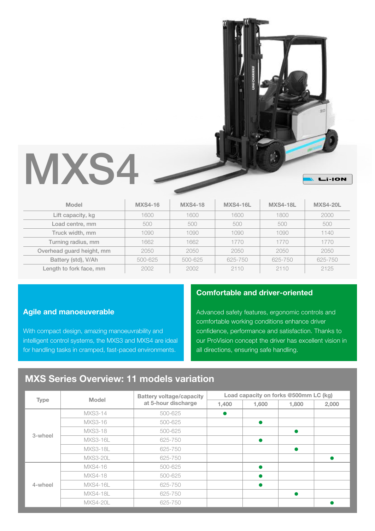

# MXS4

| Model                     | <b>MXS4-16</b> | <b>MXS4-18</b> | <b>MXS4-16L</b> | <b>MXS4-18L</b> | <b>MXS4-20L</b> |
|---------------------------|----------------|----------------|-----------------|-----------------|-----------------|
| Lift capacity, kg         | 1600           | 1600           | 1600            | 1800            | 2000            |
| Load centre, mm           | 500            | 500            | 500             | 500             | 500             |
| Truck width, mm           | 1090           | 1090           | 1090            | 1090            | 1140            |
| Turning radius, mm        | 1662           | 1662           | 1770            | 1770            | 1770            |
| Overhead guard height, mm | 2050           | 2050           | 2050            | 2050            | 2050            |
| Battery (std), V/Ah       | 500-625        | 500-625        | 625-750         | 625-750         | 625-750         |
| Length to fork face, mm   | 2002           | 2002           | 2110            | 2110            | 2125            |

### Agile and manoeuverable

With compact design, amazing manoeuvrability and intelligent control systems, the MXS3 and MXS4 are ideal for handling tasks in cramped, fast-paced environments.

### Comfortable and driver-oriented

Advanced safety features, ergonomic controls and comfortable working conditions enhance driver confidence, performance and satisfaction. Thanks to our ProVision concept the driver has excellent vision in all directions, ensuring safe handling.

### MXS Series Overview: 11 models variation

|                | <b>Model</b>    | <b>Battery voltage/capacity</b> | Load capacity on forks @500mm LC (kg) |       |       |       |  |
|----------------|-----------------|---------------------------------|---------------------------------------|-------|-------|-------|--|
| <b>Type</b>    |                 | at 5-hour discharge             | 1,400                                 | 1,600 | 1,800 | 2,000 |  |
| <b>MXS3-14</b> |                 | 500-625                         |                                       |       |       |       |  |
| 3-wheel        | <b>MXS3-16</b>  | 500-625                         |                                       |       |       |       |  |
|                | <b>MXS3-18</b>  | 500-625                         |                                       |       |       |       |  |
|                | <b>MXS3-16L</b> | 625-750                         |                                       |       |       |       |  |
|                | <b>MXS3-18L</b> | 625-750                         |                                       |       |       |       |  |
|                | <b>MXS3-20L</b> | 625-750                         |                                       |       |       |       |  |
| <b>MXS4-16</b> |                 | 500-625                         |                                       |       |       |       |  |
| 4-wheel        | <b>MXS4-18</b>  | 500-625                         |                                       |       |       |       |  |
|                | MXS4-16L        | 625-750                         |                                       |       |       |       |  |
|                | <b>MXS4-18L</b> | 625-750                         |                                       |       |       |       |  |
|                | <b>MXS4-20L</b> | 625-750                         |                                       |       |       |       |  |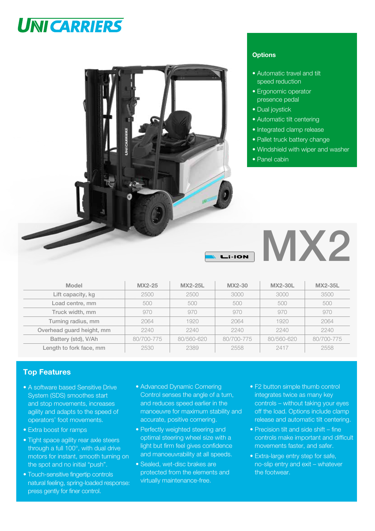

#### **Options**

- Automatic travel and tilt speed reduction
- Ergonomic operator presence pedal
- Dual joystick
- Automatic tilt centering
- Integrated clamp release
- Pallet truck battery change
- Windshield with wiper and washer
- Panel cabin



| <b>Model</b>              | $MX2-25$   | <b>MX2-25L</b> | <b>MX2-30</b> | <b>MX2-30L</b> | <b>MX2-35L</b> |
|---------------------------|------------|----------------|---------------|----------------|----------------|
| Lift capacity, kg         | 2500       | 2500           | 3000          | 3000           | 3500           |
| Load centre, mm           | 500        | 500            | 500           | 500            | 500            |
| Truck width, mm           | 970        | 970            | 970           | 970            | 970            |
| Turning radius, mm        | 2064       | 1920           | 2064          | 1920           | 2064           |
| Overhead quard height, mm | 2240       | 2240           | 2240          | 2240           | 2240           |
| Battery (std), V/Ah       | 80/700-775 | 80/560-620     | 80/700-775    | 80/560-620     | 80/700-775     |
| Length to fork face, mm   | 2530       | 2389           | 2558          | 2417           | 2558           |

### Top Features

- A software based Sensitive Drive System (SDS) smoothes start and stop movements, increases agility and adapts to the speed of operators' foot movements.
- Extra boost for ramps
- Tight space agility rear axle steers through a full 100°, with dual drive motors for instant, smooth turning on the spot and no initial "push".
- Touch-sensitive fingertip controls natural feeling, spring-loaded response: press gently for finer control.
- Advanced Dynamic Cornering Control senses the angle of a turn, and reduces speed earlier in the manoeuvre for maximum stability and accurate, positive cornering.
- Perfectly weighted steering and optimal steering wheel size with a light but firm feel gives confidence and manoeuvrability at all speeds.
- Sealed, wet-disc brakes are protected from the elements and virtually maintenance-free.
- F2 button simple thumb control integrates twice as many key controls – without taking your eyes off the load. Options include clamp release and automatic tilt centering.
- Precision tilt and side shift fine controls make important and difficult movements faster, and safer.
- Extra-large entry step for safe, no-slip entry and exit – whatever the footwear.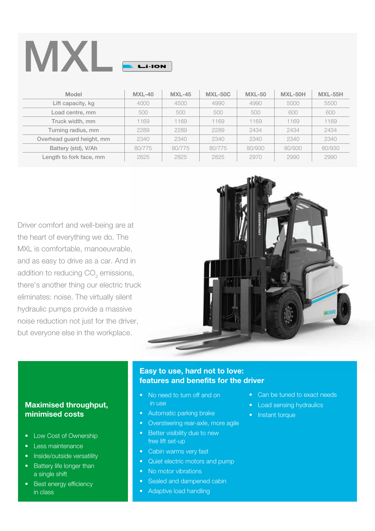### MXL i-ION

| Model                     | <b>MXL-40</b> | <b>MXL-45</b> | <b>MXL-50C</b> | <b>MXL-50</b> | MXL-50H | <b>MXL-55H</b> |
|---------------------------|---------------|---------------|----------------|---------------|---------|----------------|
| Lift capacity, kg         | 4000          | 4500          | 4990           | 4990          | 5000    | 5500           |
| Load centre, mm           | 500           | 500           | 500            | 500           | 600     | 600            |
| Truck width, mm           | 169           | 1169          | 1169           | 1169          | 1169    | 1169           |
| Turning radius, mm        | 2289          | 2289          | 2289           | 2434          | 2434    | 2434           |
| Overhead quard height, mm | 2340          | 2340          | 2340           | 2340          | 2340    | 2340           |
| Battery (std), V/Ah       | 80/775        | 80/775        | 80/775         | 80/930        | 80/930  | 80/930         |
| Length to fork face, mm   | 2825          | 2825          | 2825           | 2970          | 2990    | 2990           |

Driver comfort and well-being are at the heart of everything we do. The MXL is comfortable, manoeuvrable, and as easy to drive as a car. And in addition to reducing CO<sub>2</sub> emissions, there's another thing our electric truck eliminates: noise. The virtually silent hydraulic pumps provide a massive noise reduction not just for the driver, but everyone else in the workplace.



### Maximised throughput, minimised costs

- Low Cost of Ownership
- Less maintenance
- Inside/outside versatility
- Battery life longer than a single shift
- Best energy efficiency in class

### Easy to use, hard not to love: Easy to use, hard not to love: features and benefits for the driver features and benefits for the driver

- No need to turn off and on in use
- Automatic parking brake
- Oversteering rear-axle, more agile
- Better visibility due to new free lift set-up
- Cabin warms very fast
- Quiet electric motors and pump
- No motor vibrations
- Sealed and dampened cabin
- Adaptive load handling
- Can be tuned to exact needs
- Load sensing hydraulics
- Instant torque